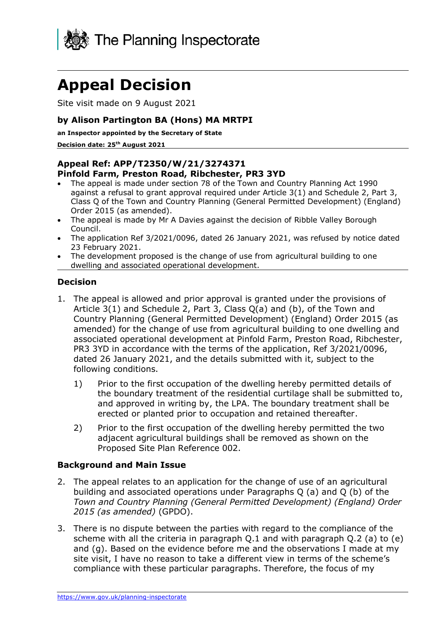

# **Appeal Decision**

Site visit made on 9 August 2021

#### **by Alison Partington BA (Hons) MA MRTPI**

**an Inspector appointed by the Secretary of State** 

**Decision date: 25th August 2021**

#### **Appeal Ref: APP/T2350/W/21/3274371 Pinfold Farm, Preston Road, Ribchester, PR3 3YD**

- The appeal is made under section 78 of the Town and Country Planning Act 1990 against a refusal to grant approval required under Article 3(1) and Schedule 2, Part 3, Class Q of the Town and Country Planning (General Permitted Development) (England) Order 2015 (as amended).
- The appeal is made by Mr A Davies against the decision of Ribble Valley Borough Council.
- The application Ref 3/2021/0096, dated 26 January 2021, was refused by notice dated 23 February 2021.
- The development proposed is the change of use from agricultural building to one dwelling and associated operational development.

## **Decision**

- 1. The appeal is allowed and prior approval is granted under the provisions of Article 3(1) and Schedule 2, Part 3, Class Q(a) and (b), of the Town and Country Planning (General Permitted Development) (England) Order 2015 (as amended) for the change of use from agricultural building to one dwelling and associated operational development at Pinfold Farm, Preston Road, Ribchester, PR3 3YD in accordance with the terms of the application, Ref 3/2021/0096, dated 26 January 2021, and the details submitted with it, subject to the following conditions.
	- 1) Prior to the first occupation of the dwelling hereby permitted details of the boundary treatment of the residential curtilage shall be submitted to, and approved in writing by, the LPA. The boundary treatment shall be erected or planted prior to occupation and retained thereafter.
	- 2) Prior to the first occupation of the dwelling hereby permitted the two adjacent agricultural buildings shall be removed as shown on the Proposed Site Plan Reference 002.

#### **Background and Main Issue**

- 2. The appeal relates to an application for the change of use of an agricultural building and associated operations under Paragraphs Q (a) and Q (b) of the *Town and Country Planning (General Permitted Development) (England) Order 2015 (as amended)* (GPDO).
- 3. There is no dispute between the parties with regard to the compliance of the scheme with all the criteria in paragraph Q.1 and with paragraph Q.2 (a) to (e) and (g). Based on the evidence before me and the observations I made at my site visit, I have no reason to take a different view in terms of the scheme's compliance with these particular paragraphs. Therefore, the focus of my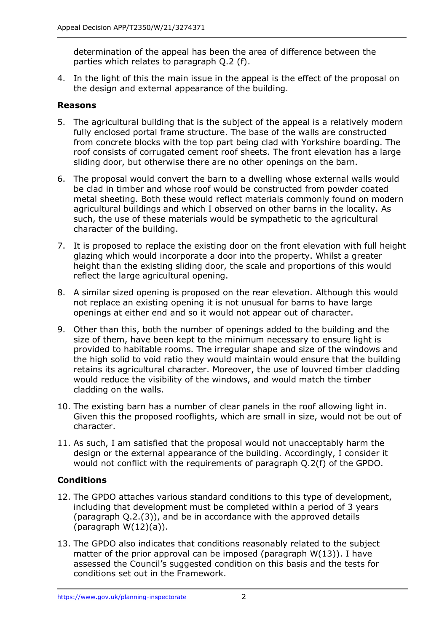determination of the appeal has been the area of difference between the parties which relates to paragraph Q.2 (f).

4. In the light of this the main issue in the appeal is the effect of the proposal on the design and external appearance of the building.

### **Reasons**

- 5. The agricultural building that is the subject of the appeal is a relatively modern fully enclosed portal frame structure. The base of the walls are constructed from concrete blocks with the top part being clad with Yorkshire boarding. The roof consists of corrugated cement roof sheets. The front elevation has a large sliding door, but otherwise there are no other openings on the barn.
- 6. The proposal would convert the barn to a dwelling whose external walls would be clad in timber and whose roof would be constructed from powder coated metal sheeting. Both these would reflect materials commonly found on modern agricultural buildings and which I observed on other barns in the locality. As such, the use of these materials would be sympathetic to the agricultural character of the building.
- 7. It is proposed to replace the existing door on the front elevation with full height glazing which would incorporate a door into the property. Whilst a greater height than the existing sliding door, the scale and proportions of this would reflect the large agricultural opening.
- 8. A similar sized opening is proposed on the rear elevation. Although this would not replace an existing opening it is not unusual for barns to have large openings at either end and so it would not appear out of character.
- 9. Other than this, both the number of openings added to the building and the size of them, have been kept to the minimum necessary to ensure light is provided to habitable rooms. The irregular shape and size of the windows and the high solid to void ratio they would maintain would ensure that the building retains its agricultural character. Moreover, the use of louvred timber cladding would reduce the visibility of the windows, and would match the timber cladding on the walls.
- 10. The existing barn has a number of clear panels in the roof allowing light in. Given this the proposed rooflights, which are small in size, would not be out of character.
- 11. As such, I am satisfied that the proposal would not unacceptably harm the design or the external appearance of the building. Accordingly, I consider it would not conflict with the requirements of paragraph Q.2(f) of the GPDO.

# **Conditions**

- 12. The GPDO attaches various standard conditions to this type of development, including that development must be completed within a period of 3 years (paragraph Q.2.(3)), and be in accordance with the approved details (paragraph  $W(12)(a)$ ).
- 13. The GPDO also indicates that conditions reasonably related to the subject matter of the prior approval can be imposed (paragraph W(13)). I have assessed the Council's suggested condition on this basis and the tests for conditions set out in the Framework.